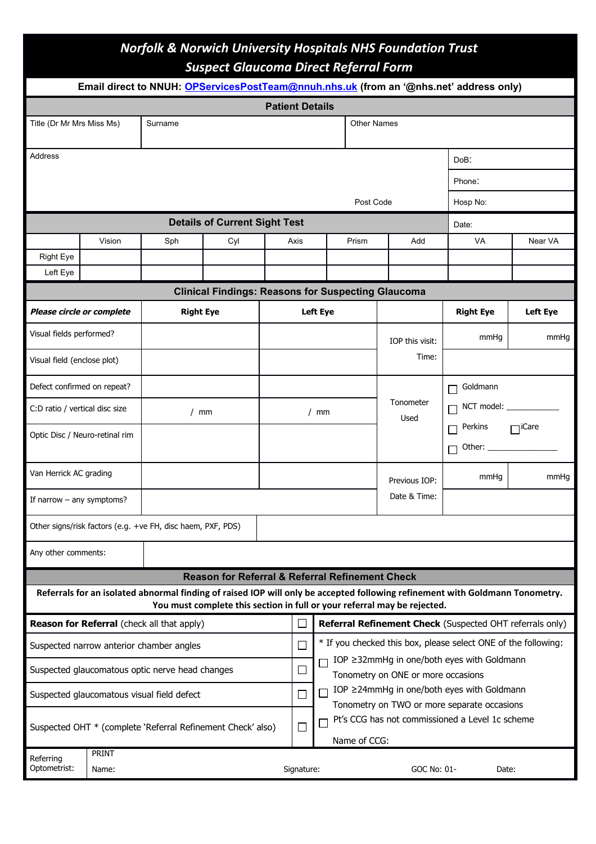## *Norfolk & Norwich University Hospitals NHS Foundation Trust Suspect Glaucoma Direct Referral Form*

| Email direct to NNUH: OPServicesPostTeam@nnuh.nhs.uk (from an '@nhs.net' address only) |                |                  |                                                            |           |                                                                |                                                                                  |                                                                                           |                                                                          |                                                                                                                              |         |
|----------------------------------------------------------------------------------------|----------------|------------------|------------------------------------------------------------|-----------|----------------------------------------------------------------|----------------------------------------------------------------------------------|-------------------------------------------------------------------------------------------|--------------------------------------------------------------------------|------------------------------------------------------------------------------------------------------------------------------|---------|
| <b>Patient Details</b>                                                                 |                |                  |                                                            |           |                                                                |                                                                                  |                                                                                           |                                                                          |                                                                                                                              |         |
| Title (Dr Mr Mrs Miss Ms)                                                              |                | Surname          |                                                            |           | <b>Other Names</b>                                             |                                                                                  |                                                                                           |                                                                          |                                                                                                                              |         |
| Address                                                                                |                |                  |                                                            |           |                                                                |                                                                                  |                                                                                           | DoB:                                                                     |                                                                                                                              |         |
|                                                                                        |                |                  |                                                            |           |                                                                |                                                                                  |                                                                                           |                                                                          | Phone:                                                                                                                       |         |
|                                                                                        |                |                  |                                                            | Post Code |                                                                |                                                                                  |                                                                                           |                                                                          | Hosp No:                                                                                                                     |         |
| <b>Details of Current Sight Test</b>                                                   |                |                  |                                                            |           |                                                                |                                                                                  |                                                                                           | Date:                                                                    |                                                                                                                              |         |
|                                                                                        | Vision         | Sph              | Cyl                                                        |           | Axis                                                           | Prism                                                                            |                                                                                           | Add                                                                      | <b>VA</b>                                                                                                                    | Near VA |
| <b>Right Eye</b>                                                                       |                |                  |                                                            |           |                                                                |                                                                                  |                                                                                           |                                                                          |                                                                                                                              |         |
| Left Eve                                                                               |                |                  |                                                            |           |                                                                |                                                                                  |                                                                                           |                                                                          |                                                                                                                              |         |
|                                                                                        |                |                  | <b>Clinical Findings: Reasons for Suspecting Glaucoma</b>  |           |                                                                |                                                                                  |                                                                                           |                                                                          |                                                                                                                              |         |
| Please circle or complete                                                              |                | <b>Right Eye</b> |                                                            |           | <b>Left Eye</b>                                                |                                                                                  |                                                                                           | <b>Right Eye</b>                                                         | <b>Left Eye</b>                                                                                                              |         |
| Visual fields performed?                                                               |                |                  |                                                            |           |                                                                | IOP this visit:                                                                  |                                                                                           | mmHg                                                                     | mmHq                                                                                                                         |         |
| Visual field (enclose plot)                                                            |                |                  |                                                            |           |                                                                |                                                                                  | Time:                                                                                     |                                                                          |                                                                                                                              |         |
| Defect confirmed on repeat?                                                            |                |                  |                                                            |           |                                                                |                                                                                  |                                                                                           |                                                                          | Goldmann                                                                                                                     |         |
| C:D ratio / vertical disc size                                                         |                | / $mm$           |                                                            |           | / $mm$                                                         |                                                                                  |                                                                                           | Tonometer<br>Used                                                        | NCT model:                                                                                                                   |         |
| Optic Disc / Neuro-retinal rim                                                         |                |                  |                                                            |           |                                                                |                                                                                  |                                                                                           | Perkins<br>$\Box$ iCare                                                  |                                                                                                                              |         |
| Van Herrick AC grading                                                                 |                |                  |                                                            |           | Previous IOP:                                                  |                                                                                  | mmHq                                                                                      | mmHg                                                                     |                                                                                                                              |         |
| If narrow $-$ any symptoms?                                                            |                |                  |                                                            |           |                                                                |                                                                                  |                                                                                           | Date & Time:                                                             |                                                                                                                              |         |
| Other signs/risk factors (e.g. +ve FH, disc haem, PXF, PDS)                            |                |                  |                                                            |           |                                                                |                                                                                  |                                                                                           |                                                                          |                                                                                                                              |         |
| Any other comments:                                                                    |                |                  |                                                            |           |                                                                |                                                                                  |                                                                                           |                                                                          |                                                                                                                              |         |
|                                                                                        |                |                  | <b>Reason for Referral &amp; Referral Refinement Check</b> |           |                                                                |                                                                                  |                                                                                           |                                                                          |                                                                                                                              |         |
|                                                                                        |                |                  |                                                            |           |                                                                |                                                                                  |                                                                                           | You must complete this section in full or your referral may be rejected. | Referrals for an isolated abnormal finding of raised IOP will only be accepted following refinement with Goldmann Tonometry. |         |
| <b>Reason for Referral</b> (check all that apply)                                      |                |                  |                                                            |           | Referral Refinement Check (Suspected OHT referrals only)       |                                                                                  |                                                                                           |                                                                          |                                                                                                                              |         |
| Suspected narrow anterior chamber angles                                               |                |                  |                                                            | ΓJ        | * If you checked this box, please select ONE of the following: |                                                                                  |                                                                                           |                                                                          |                                                                                                                              |         |
| Suspected glaucomatous optic nerve head changes                                        |                |                  |                                                            | $\Box$    |                                                                | IOP ≥32mmHg in one/both eyes with Goldmann<br>Tonometry on ONE or more occasions |                                                                                           |                                                                          |                                                                                                                              |         |
| Suspected glaucomatous visual field defect                                             |                |                  |                                                            |           | $\Box$                                                         |                                                                                  | IOP ≥24mmHg in one/both eyes with Goldmann<br>Tonometry on TWO or more separate occasions |                                                                          |                                                                                                                              |         |
| Suspected OHT * (complete 'Referral Refinement Check' also)                            |                |                  |                                                            | $\Box$    |                                                                | Pt's CCG has not commissioned a Level 1c scheme<br>Name of CCG:                  |                                                                                           |                                                                          |                                                                                                                              |         |
| Referring<br>Optometrist:                                                              | PRINT<br>Name: |                  |                                                            |           | Signature:                                                     |                                                                                  |                                                                                           | GOC No: 01-                                                              | Date:                                                                                                                        |         |